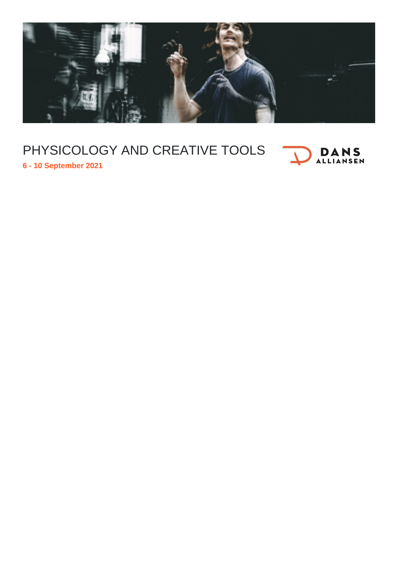

## PHYSICOLOGY AND CREATIVE TOOLS



**6 - 10 September 2021**